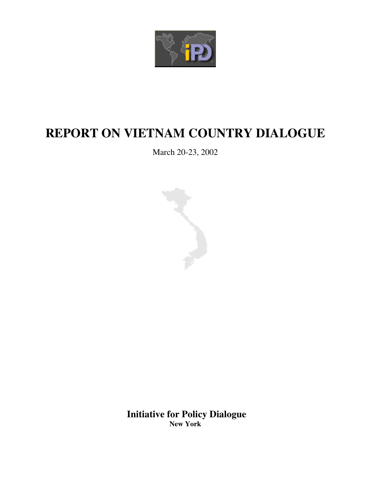

# **REPORT ON VIETNAM COUNTRY DIALOGUE**

March 20-23, 2002



**Initiative for Policy Dialogue New York**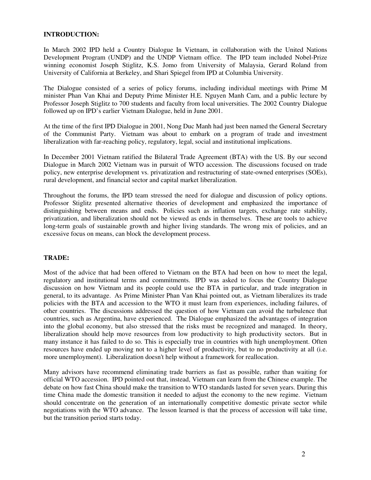#### **INTRODUCTION:**

In March 2002 IPD held a Country Dialogue In Vietnam, in collaboration with the United Nations Development Program (UNDP) and the UNDP Vietnam office. The IPD team included Nobel-Prize winning economist Joseph Stiglitz, K.S. Jomo from University of Malaysia, Gerard Roland from University of California at Berkeley, and Shari Spiegel from IPD at Columbia University.

The Dialogue consisted of a series of policy forums, including individual meetings with Prime M minister Phan Van Khai and Deputy Prime Minister H.E. Nguyen Manh Cam, and a public lecture by Professor Joseph Stiglitz to 700 students and faculty from local universities. The 2002 Country Dialogue followed up on IPD's earlier Vietnam Dialogue, held in June 2001.

At the time of the first IPD Dialogue in 2001, Nong Duc Manh had just been named the General Secretary of the Communist Party. Vietnam was about to embark on a program of trade and investment liberalization with far-reaching policy, regulatory, legal, social and institutional implications.

In December 2001 Vietnam ratified the Bilateral Trade Agreement (BTA) with the US. By our second Dialogue in March 2002 Vietnam was in pursuit of WTO accession. The discussions focused on trade policy, new enterprise development vs. privatization and restructuring of state-owned enterprises (SOEs), rural development, and financial sector and capital market liberalization.

Throughout the forums, the IPD team stressed the need for dialogue and discussion of policy options. Professor Stiglitz presented alternative theories of development and emphasized the importance of distinguishing between means and ends. Policies such as inflation targets, exchange rate stability, privatization, and liberalization should not be viewed as ends in themselves. These are tools to achieve long-term goals of sustainable growth and higher living standards. The wrong mix of policies, and an excessive focus on means, can block the development process.

## **TRADE:**

Most of the advice that had been offered to Vietnam on the BTA had been on how to meet the legal, regulatory and institutional terms and commitments. IPD was asked to focus the Country Dialogue discussion on how Vietnam and its people could use the BTA in particular, and trade integration in general, to its advantage. As Prime Minister Phan Van Khai pointed out, as Vietnam liberalizes its trade policies with the BTA and accession to the WTO it must learn from experiences, including failures, of other countries. The discussions addressed the question of how Vietnam can avoid the turbulence that countries, such as Argentina, have experienced. The Dialogue emphasized the advantages of integration into the global economy, but also stressed that the risks must be recognized and managed. In theory, liberalization should help move resources from low productivity to high productivity sectors. But in many instance it has failed to do so. This is especially true in countries with high unemployment. Often resources have ended up moving not to a higher level of productivity, but to no productivity at all (i.e. more unemployment). Liberalization doesn't help without a framework for reallocation.

Many advisors have recommend eliminating trade barriers as fast as possible, rather than waiting for official WTO accession. IPD pointed out that, instead, Vietnam can learn from the Chinese example. The debate on how fast China should make the transition to WTO standards lasted for seven years. During this time China made the domestic transition it needed to adjust the economy to the new regime. Vietnam should concentrate on the generation of an internationally competitive domestic private sector while negotiations with the WTO advance. The lesson learned is that the process of accession will take time, but the transition period starts today.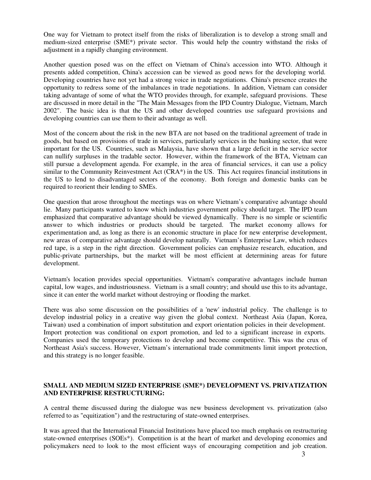One way for Vietnam to protect itself from the risks of liberalization is to develop a strong small and medium-sized enterprise (SME\*) private sector. This would help the country withstand the risks of adjustment in a rapidly changing environment.

Another question posed was on the effect on Vietnam of China's accession into WTO. Although it presents added competition, China's accession can be viewed as good news for the developing world. Developing countries have not yet had a strong voice in trade negotiations. China's presence creates the opportunity to redress some of the imbalances in trade negotiations. In addition, Vietnam can consider taking advantage of some of what the WTO provides through, for example, safeguard provisions. These are discussed in more detail in the "The Main Messages from the IPD Country Dialogue, Vietnam, March 2002". The basic idea is that the US and other developed countries use safeguard provisions and developing countries can use them to their advantage as well.

Most of the concern about the risk in the new BTA are not based on the traditional agreement of trade in goods, but based on provisions of trade in services, particularly services in the banking sector, that were important for the US. Countries, such as Malaysia, have shown that a large deficit in the service sector can nullify surpluses in the tradable sector. However, within the framework of the BTA, Vietnam can still pursue a development agenda. For example, in the area of financial services, it can use a policy similar to the Community Reinvestment Act (CRA\*) in the US. This Act requires financial institutions in the US to lend to disadvantaged sectors of the economy. Both foreign and domestic banks can be required to reorient their lending to SMEs.

One question that arose throughout the meetings was on where Vietnam's comparative advantage should lie. Many participants wanted to know which industries government policy should target. The IPD team emphasized that comparative advantage should be viewed dynamically. There is no simple or scientific answer to which industries or products should be targeted. The market economy allows for experimentation and, as long as there is an economic structure in place for new enterprise development, new areas of comparative advantage should develop naturally. Vietnam's Enterprise Law, which reduces red tape, is a step in the right direction. Government policies can emphasize research, education, and public-private partnerships, but the market will be most efficient at determining areas for future development.

Vietnam's location provides special opportunities. Vietnam's comparative advantages include human capital, low wages, and industriousness. Vietnam is a small country; and should use this to its advantage, since it can enter the world market without destroying or flooding the market.

There was also some discussion on the possibilities of a 'new'industrial policy. The challenge is to develop industrial policy in a creative way given the global context. Northeast Asia (Japan, Korea, Taiwan) used a combination of import substitution and export orientation policies in their development. Import protection was conditional on export promotion, and led to a significant increase in exports. Companies used the temporary protections to develop and become competitive. This was the crux of Northeast Asia's success. However, Vietnam's international trade commitments limit import protection, and this strategy is no longer feasible.

# **SMALL AND MEDIUM SIZED ENTERPRISE (SME\*) DEVELOPMENT VS. PRIVATIZATION AND ENTERPRISE RESTRUCTURING:**

A central theme discussed during the dialogue was new business development vs. privatization (also referred to as "equitization") and the restructuring of state-owned enterprises.

It was agreed that the International Financial Institutions have placed too much emphasis on restructuring state-owned enterprises (SOEs\*). Competition is at the heart of market and developing economies and policymakers need to look to the most efficient ways of encouraging competition and job creation.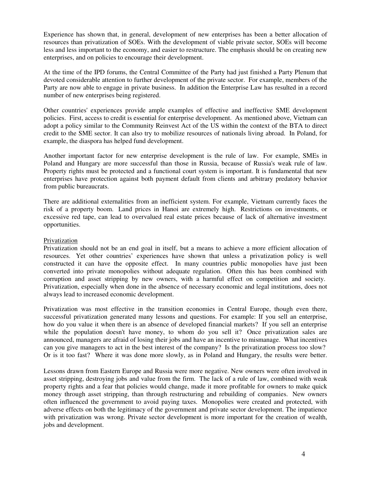Experience has shown that, in general, development of new enterprises has been a better allocation of resources than privatization of SOEs. With the development of viable private sector, SOEs will become less and less important to the economy, and easier to restructure. The emphasis should be on creating new enterprises, and on policies to encourage their development.

At the time of the IPD forums, the Central Committee of the Party had just finished a Party Plenum that devoted considerable attention to further development of the private sector. For example, members of the Party are now able to engage in private business. In addition the Enterprise Law has resulted in a record number of new enterprises being registered.

Other countries'experiences provide ample examples of effective and ineffective SME development policies. First, access to credit is essential for enterprise development. As mentioned above, Vietnam can adopt a policy similar to the Community Reinvest Act of the US within the context of the BTA to direct credit to the SME sector. It can also try to mobilize resources of nationals living abroad. In Poland, for example, the diaspora has helped fund development.

Another important factor for new enterprise development is the rule of law. For example, SMEs in Poland and Hungary are more successful than those in Russia, because of Russia's weak rule of law. Property rights must be protected and a functional court system is important. It is fundamental that new enterprises have protection against both payment default from clients and arbitrary predatory behavior from public bureaucrats.

There are additional externalities from an inefficient system. For example, Vietnam currently faces the risk of a property boom. Land prices in Hanoi are extremely high. Restrictions on investments, or excessive red tape, can lead to overvalued real estate prices because of lack of alternative investment opportunities.

## Privatization

Privatization should not be an end goal in itself, but a means to achieve a more efficient allocation of resources. Yet other countries' experiences have shown that unless a privatization policy is well constructed it can have the opposite effect. In many countries public monopolies have just been converted into private monopolies without adequate regulation. Often this has been combined with corruption and asset stripping by new owners, with a harmful effect on competition and society. Privatization, especially when done in the absence of necessary economic and legal institutions, does not always lead to increased economic development.

Privatization was most effective in the transition economies in Central Europe, though even there, successful privatization generated many lessons and questions. For example: If you sell an enterprise, how do you value it when there is an absence of developed financial markets? If you sell an enterprise while the population doesn't have money, to whom do you sell it? Once privatization sales are announced, managers are afraid of losing their jobs and have an incentive to mismanage. What incentives can you give managers to act in the best interest of the company? Is the privatization process too slow? Or is it too fast? Where it was done more slowly, as in Poland and Hungary, the results were better.

Lessons drawn from Eastern Europe and Russia were more negative. New owners were often involved in asset stripping, destroying jobs and value from the firm. The lack of a rule of law, combined with weak property rights and a fear that policies would change, made it more profitable for owners to make quick money through asset stripping, than through restructuring and rebuilding of companies. New owners often influenced the government to avoid paying taxes. Monopolies were created and protected, with adverse effects on both the legitimacy of the government and private sector development. The impatience with privatization was wrong. Private sector development is more important for the creation of wealth, jobs and development.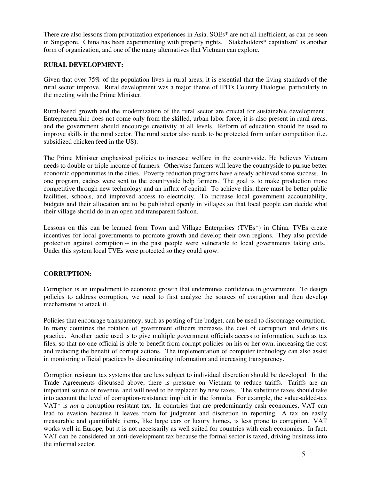There are also lessons from privatization experiences in Asia. SOEs\* are not all inefficient, as can be seen in Singapore. China has been experimenting with property rights. "Stakeholders\* capitalism" is another form of organization, and one of the many alternatives that Vietnam can explore.

## **RURAL DEVELOPMENT:**

Given that over 75% of the population lives in rural areas, it is essential that the living standards of the rural sector improve. Rural development was a major theme of IPD's Country Dialogue, particularly in the meeting with the Prime Minister.

Rural-based growth and the modernization of the rural sector are crucial for sustainable development. Entrepreneurship does not come only from the skilled, urban labor force, it is also present in rural areas, and the government should encourage creativity at all levels. Reform of education should be used to improve skills in the rural sector. The rural sector also needs to be protected from unfair competition (i.e. subsidized chicken feed in the US).

The Prime Minister emphasized policies to increase welfare in the countryside. He believes Vietnam needs to double or triple income of farmers. Otherwise farmers will leave the countryside to pursue better economic opportunities in the cities. Poverty reduction programs have already achieved some success. In one program, cadres were sent to the countryside help farmers. The goal is to make production more competitive through new technology and an influx of capital. To achieve this, there must be better public facilities, schools, and improved access to electricity. To increase local government accountability, budgets and their allocation are to be published openly in villages so that local people can decide what their village should do in an open and transparent fashion.

Lessons on this can be learned from Town and Village Enterprises (TVEs\*) in China. TVEs create incentives for local governments to promote growth and develop their own regions. They also provide protection against corruption -- in the past people were vulnerable to local governments taking cuts. Under this system local TVEs were protected so they could grow.

# **CORRUPTION:**

Corruption is an impediment to economic growth that undermines confidence in government. To design policies to address corruption, we need to first analyze the sources of corruption and then develop mechanisms to attack it.

Policies that encourage transparency, such as posting of the budget, can be used to discourage corruption. In many countries the rotation of government officers increases the cost of corruption and deters its practice. Another tactic used is to give multiple government officials access to information, such as tax files, so that no one official is able to benefit from corrupt policies on his or her own, increasing the cost and reducing the benefit of corrupt actions. The implementation of computer technology can also assist in monitoring official practices by disseminating information and increasing transparency.

Corruption resistant tax systems that are less subject to individual discretion should be developed. In the Trade Agreements discussed above, there is pressure on Vietnam to reduce tariffs. Tariffs are an important source of revenue, and will need to be replaced by new taxes. The substitute taxes should take into account the level of corruption-resistance implicit in the formula. For example, the value-added-tax VAT\* is *not* a corruption resistant tax. In countries that are predominantly cash economies, VAT can lead to evasion because it leaves room for judgment and discretion in reporting. A tax on easily measurable and quantifiable items, like large cars or luxury homes, is less prone to corruption. VAT works well in Europe, but it is not necessarily as well suited for countries with cash economies. In fact, VAT can be considered an anti-development tax because the formal sector is taxed, driving business into the informal sector.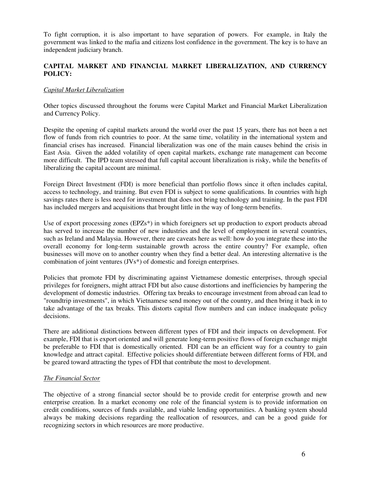To fight corruption, it is also important to have separation of powers. For example, in Italy the government was linked to the mafia and citizens lost confidence in the government. The key is to have an independent judiciary branch.

## **CAPITAL MARKET AND FINANCIAL MARKET LIBERALIZATION, AND CURRENCY POLICY:**

## *Capital Market Liberalization*

Other topics discussed throughout the forums were Capital Market and Financial Market Liberalization and Currency Policy.

Despite the opening of capital markets around the world over the past 15 years, there has not been a net flow of funds from rich countries to poor. At the same time, volatility in the international system and financial crises has increased. Financial liberalization was one of the main causes behind the crisis in East Asia. Given the added volatility of open capital markets, exchange rate management can become more difficult. The IPD team stressed that full capital account liberalization is risky, while the benefits of liberalizing the capital account are minimal.

Foreign Direct Investment (FDI) is more beneficial than portfolio flows since it often includes capital, access to technology, and training. But even FDI is subject to some qualifications. In countries with high savings rates there is less need for investment that does not bring technology and training. In the past FDI has included mergers and acquisitions that brought little in the way of long-term benefits.

Use of export processing zones (EPZs<sup>\*</sup>) in which foreigners set up production to export products abroad has served to increase the number of new industries and the level of employment in several countries, such as Ireland and Malaysia. However, there are caveats here as well: how do you integrate these into the overall economy for long-term sustainable growth across the entire country? For example, often businesses will move on to another country when they find a better deal. An interesting alternative is the combination of joint ventures (JVs\*) of domestic and foreign enterprises.

Policies that promote FDI by discriminating against Vietnamese domestic enterprises, through special privileges for foreigners, might attract FDI but also cause distortions and inefficiencies by hampering the development of domestic industries. Offering tax breaks to encourage investment from abroad can lead to "roundtrip investments", in which Vietnamese send money out of the country, and then bring it back in to take advantage of the tax breaks. This distorts capital flow numbers and can induce inadequate policy decisions.

There are additional distinctions between different types of FDI and their impacts on development. For example, FDI that is export oriented and will generate long-term positive flows of foreign exchange might be preferable to FDI that is domestically oriented. FDI can be an efficient way for a country to gain knowledge and attract capital. Effective policies should differentiate between different forms of FDI, and be geared toward attracting the types of FDI that contribute the most to development.

## *The Financial Sector*

The objective of a strong financial sector should be to provide credit for enterprise growth and new enterprise creation. In a market economy one role of the financial system is to provide information on credit conditions, sources of funds available, and viable lending opportunities. A banking system should always be making decisions regarding the reallocation of resources, and can be a good guide for recognizing sectors in which resources are more productive.